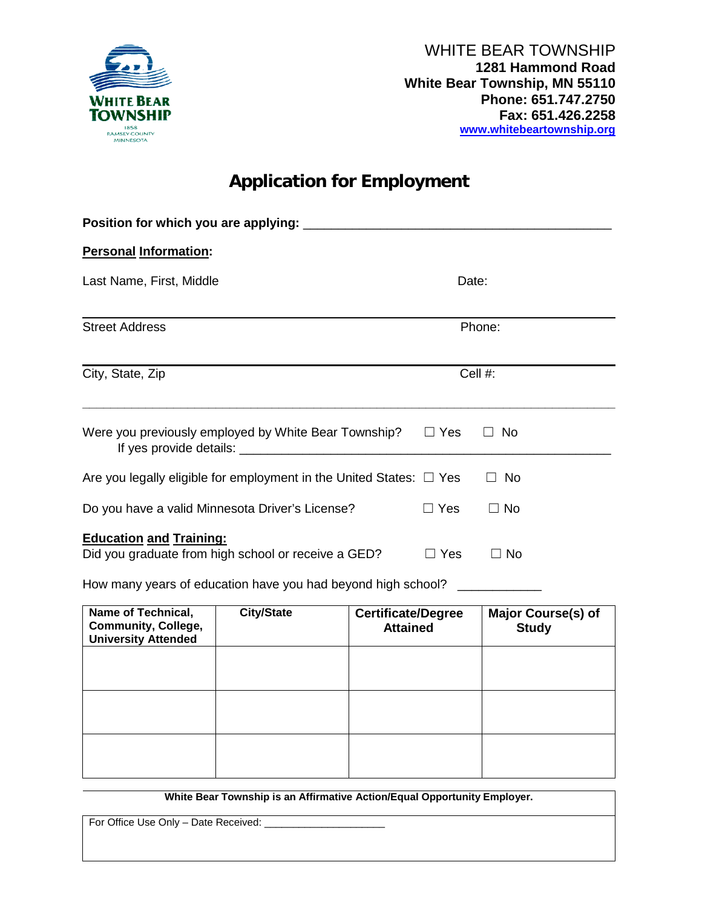

# **Application for Employment**

| <b>Personal Information:</b>                                                   |                                                                                                                     |                                              |            |                                    |  |  |  |
|--------------------------------------------------------------------------------|---------------------------------------------------------------------------------------------------------------------|----------------------------------------------|------------|------------------------------------|--|--|--|
| Last Name, First, Middle                                                       |                                                                                                                     |                                              |            | Date:                              |  |  |  |
| <b>Street Address</b>                                                          |                                                                                                                     |                                              | Phone:     |                                    |  |  |  |
| City, State, Zip                                                               |                                                                                                                     |                                              |            | Cell #:                            |  |  |  |
|                                                                                | Were you previously employed by White Bear Township?                                                                |                                              | $\Box$ Yes | <b>No</b>                          |  |  |  |
|                                                                                | Are you legally eligible for employment in the United States: $\Box$ Yes                                            |                                              |            | <b>No</b><br>$\perp$               |  |  |  |
|                                                                                | Do you have a valid Minnesota Driver's License?                                                                     |                                              | $\Box$ Yes | $\Box$ No                          |  |  |  |
| <b>Education and Training:</b>                                                 | Did you graduate from high school or receive a GED?<br>How many years of education have you had beyond high school? |                                              | $\Box$ Yes | $\Box$ No                          |  |  |  |
| Name of Technical,<br><b>Community, College,</b><br><b>University Attended</b> | <b>City/State</b>                                                                                                   | <b>Certificate/Degree</b><br><b>Attained</b> |            | Major Course(s) of<br><b>Study</b> |  |  |  |
|                                                                                |                                                                                                                     |                                              |            |                                    |  |  |  |
|                                                                                |                                                                                                                     |                                              |            |                                    |  |  |  |

**White Bear Township is an Affirmative Action/Equal Opportunity Employer.**

For Office Use Only - Date Received: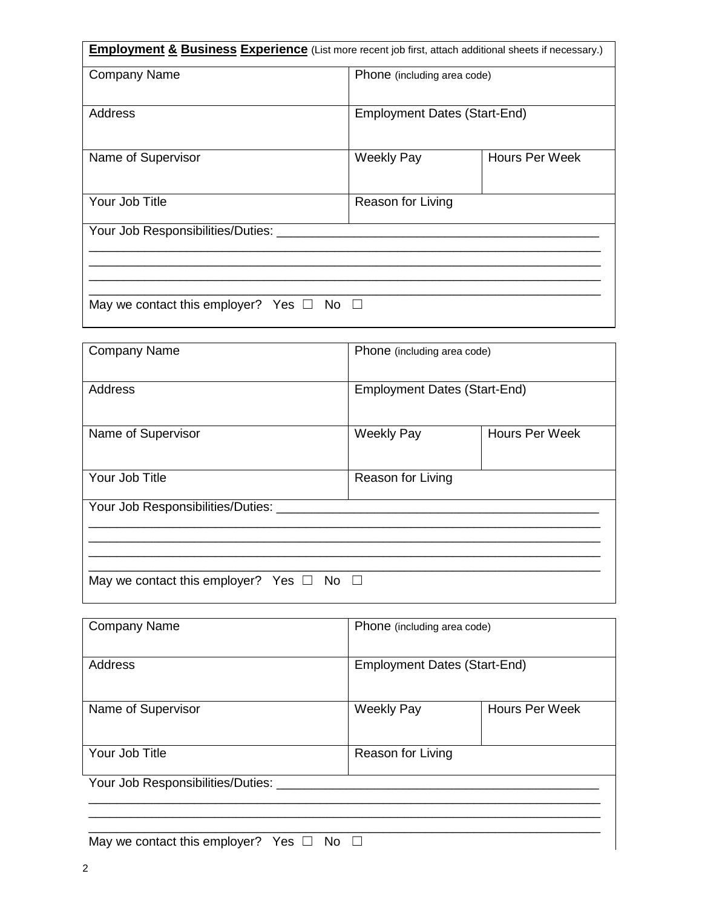| <b>Employment &amp; Business Experience</b> (List more recent job first, attach additional sheets if necessary.) |                                     |                       |  |  |  |
|------------------------------------------------------------------------------------------------------------------|-------------------------------------|-----------------------|--|--|--|
| <b>Company Name</b>                                                                                              | Phone (including area code)         |                       |  |  |  |
| Address                                                                                                          | <b>Employment Dates (Start-End)</b> |                       |  |  |  |
| Name of Supervisor                                                                                               | <b>Weekly Pay</b>                   | <b>Hours Per Week</b> |  |  |  |
| Your Job Title                                                                                                   | Reason for Living                   |                       |  |  |  |
| Your Job Responsibilities/Duties:                                                                                |                                     |                       |  |  |  |
| May we contact this employer? Yes $\Box$ No $\Box$                                                               |                                     |                       |  |  |  |

| <b>Company Name</b>                                | Phone (including area code)         |                |  |  |  |
|----------------------------------------------------|-------------------------------------|----------------|--|--|--|
| Address                                            | <b>Employment Dates (Start-End)</b> |                |  |  |  |
| Name of Supervisor                                 | <b>Weekly Pay</b>                   | Hours Per Week |  |  |  |
| Your Job Title                                     | Reason for Living                   |                |  |  |  |
| Your Job Responsibilities/Duties:                  |                                     |                |  |  |  |
| May we contact this employer? Yes $\Box$ No $\Box$ |                                     |                |  |  |  |

| <b>Company Name</b>                   | Phone (including area code)         |                       |  |  |
|---------------------------------------|-------------------------------------|-----------------------|--|--|
|                                       |                                     |                       |  |  |
| Address                               | <b>Employment Dates (Start-End)</b> |                       |  |  |
|                                       |                                     |                       |  |  |
| Name of Supervisor                    | <b>Weekly Pay</b>                   | <b>Hours Per Week</b> |  |  |
|                                       |                                     |                       |  |  |
| Your Job Title                        | Reason for Living                   |                       |  |  |
| Your Job Responsibilities/Duties:     |                                     |                       |  |  |
|                                       |                                     |                       |  |  |
|                                       |                                     |                       |  |  |
| $M_2$ we contact this employer? $V_2$ | $N_{\Omega}$                        |                       |  |  |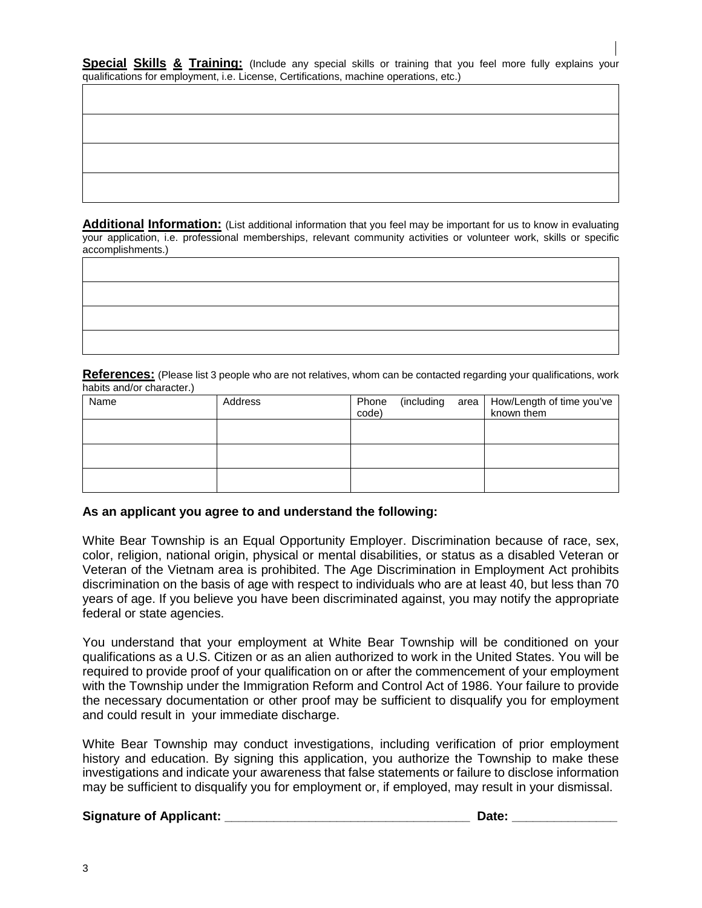|  | Special Skills & Training: (Include any special skills or training that you feel more fully explains your |  |  |  |  |  |  |  |
|--|-----------------------------------------------------------------------------------------------------------|--|--|--|--|--|--|--|
|  | qualifications for employment, i.e. License, Certifications, machine operations, etc.)                    |  |  |  |  |  |  |  |

**Additional Information:** (List additional information that you feel may be important for us to know in evaluating your application, i.e. professional memberships, relevant community activities or volunteer work, skills or specific accomplishments.)

| <u> 1989 - Johann Barn, mars et al. (b. 1989)</u> |  |  |
|---------------------------------------------------|--|--|
|                                                   |  |  |
|                                                   |  |  |
|                                                   |  |  |

**References:** (Please list 3 people who are not relatives, whom can be contacted regarding your qualifications, work habits and/or character.)

| Name | Address | Phone<br>code) | (including | area | How/Length of time you've<br>known them |
|------|---------|----------------|------------|------|-----------------------------------------|
|      |         |                |            |      |                                         |
|      |         |                |            |      |                                         |
|      |         |                |            |      |                                         |

## **As an applicant you agree to and understand the following:**

White Bear Township is an Equal Opportunity Employer. Discrimination because of race, sex, color, religion, national origin, physical or mental disabilities, or status as a disabled Veteran or Veteran of the Vietnam area is prohibited. The Age Discrimination in Employment Act prohibits discrimination on the basis of age with respect to individuals who are at least 40, but less than 70 years of age. If you believe you have been discriminated against, you may notify the appropriate federal or state agencies.

You understand that your employment at White Bear Township will be conditioned on your qualifications as a U.S. Citizen or as an alien authorized to work in the United States. You will be required to provide proof of your qualification on or after the commencement of your employment with the Township under the Immigration Reform and Control Act of 1986. Your failure to provide the necessary documentation or other proof may be sufficient to disqualify you for employment and could result in your immediate discharge.

White Bear Township may conduct investigations, including verification of prior employment history and education. By signing this application, you authorize the Township to make these investigations and indicate your awareness that false statements or failure to disclose information may be sufficient to disqualify you for employment or, if employed, may result in your dismissal.

## **Signature of Applicant: Contract Applicant: Contract Applicant: Contract Applicant: Contract Applicant: Contract Applicant: Contract Applicant: Contract Applicant: Contract Applicant: Contract Applicant:**